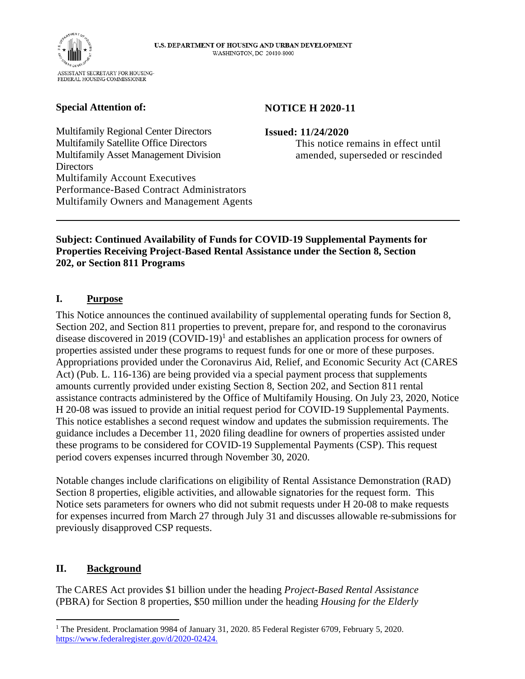

### **Special Attention of:**

### **NOTICE H 2020-11**

Multifamily Regional Center Directors Multifamily Satellite Office Directors Multifamily Asset Management Division **Directors** Multifamily Account Executives Performance-Based Contract Administrators Multifamily Owners and Management Agents

#### **Issued: 11/24/2020**

This notice remains in effect until amended, superseded or rescinded

#### **Subject: Continued Availability of Funds for COVID-19 Supplemental Payments for Properties Receiving Project-Based Rental Assistance under the Section 8, Section 202, or Section 811 Programs**

## **I. Purpose**

This Notice announces the continued availability of supplemental operating funds for Section 8, Section 202, and Section 811 properties to prevent, prepare for, and respond to the coronavirus disease discovered in 2019  $(COVID-19)^1$  and establishes an application process for owners of properties assisted under these programs to request funds for one or more of these purposes. Appropriations provided under the Coronavirus Aid, Relief, and Economic Security Act (CARES Act) (Pub. L. 116-136) are being provided via a special payment process that supplements amounts currently provided under existing Section 8, Section 202, and Section 811 rental assistance contracts administered by the Office of Multifamily Housing. On July 23, 2020, Notice H 20-08 was issued to provide an initial request period for COVID-19 Supplemental Payments. This notice establishes a second request window and updates the submission requirements. The guidance includes a December 11, 2020 filing deadline for owners of properties assisted under these programs to be considered for COVID-19 Supplemental Payments (CSP). This request period covers expenses incurred through November 30, 2020.

Notable changes include clarifications on eligibility of Rental Assistance Demonstration (RAD) Section 8 properties, eligible activities, and allowable signatories for the request form. This Notice sets parameters for owners who did not submit requests under H 20-08 to make requests for expenses incurred from March 27 through July 31 and discusses allowable re-submissions for previously disapproved CSP requests.

### **II. Background**

The CARES Act provides \$1 billion under the heading *Project-Based Rental Assistance*  (PBRA) for Section 8 properties, \$50 million under the heading *Housing for the Elderly* 

<sup>&</sup>lt;sup>1</sup> The President. Proclamation 9984 of January 31, 2020. 85 Federal Register 6709, February 5, 2020. https://www.federalregister.gov/d/2020-02424.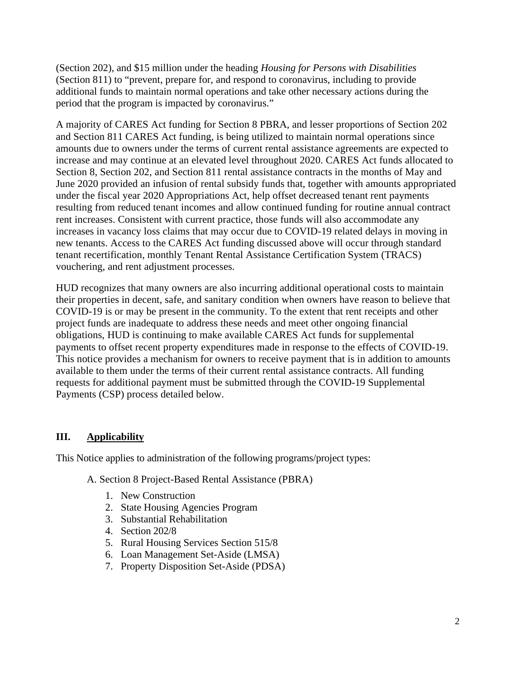(Section 202), and \$15 million under the heading *Housing for Persons with Disabilities*  (Section 811) to "prevent, prepare for, and respond to coronavirus, including to provide additional funds to maintain normal operations and take other necessary actions during the period that the program is impacted by coronavirus."

A majority of CARES Act funding for Section 8 PBRA, and lesser proportions of Section 202 and Section 811 CARES Act funding, is being utilized to maintain normal operations since amounts due to owners under the terms of current rental assistance agreements are expected to increase and may continue at an elevated level throughout 2020. CARES Act funds allocated to Section 8, Section 202, and Section 811 rental assistance contracts in the months of May and June 2020 provided an infusion of rental subsidy funds that, together with amounts appropriated under the fiscal year 2020 Appropriations Act, help offset decreased tenant rent payments resulting from reduced tenant incomes and allow continued funding for routine annual contract rent increases. Consistent with current practice, those funds will also accommodate any increases in vacancy loss claims that may occur due to COVID-19 related delays in moving in new tenants. Access to the CARES Act funding discussed above will occur through standard tenant recertification, monthly Tenant Rental Assistance Certification System (TRACS) vouchering, and rent adjustment processes.

HUD recognizes that many owners are also incurring additional operational costs to maintain their properties in decent, safe, and sanitary condition when owners have reason to believe that COVID-19 is or may be present in the community. To the extent that rent receipts and other project funds are inadequate to address these needs and meet other ongoing financial obligations, HUD is continuing to make available CARES Act funds for supplemental payments to offset recent property expenditures made in response to the effects of COVID-19. This notice provides a mechanism for owners to receive payment that is in addition to amounts available to them under the terms of their current rental assistance contracts. All funding requests for additional payment must be submitted through the COVID-19 Supplemental Payments (CSP) process detailed below.

### **III. Applicability**

This Notice applies to administration of the following programs/project types:

A. Section 8 Project-Based Rental Assistance (PBRA)

- 1. New Construction
- 2. State Housing Agencies Program
- 3. Substantial Rehabilitation
- 4. Section 202/8
- 5. Rural Housing Services Section 515/8
- 6. Loan Management Set-Aside (LMSA)
- 7. Property Disposition Set-Aside (PDSA)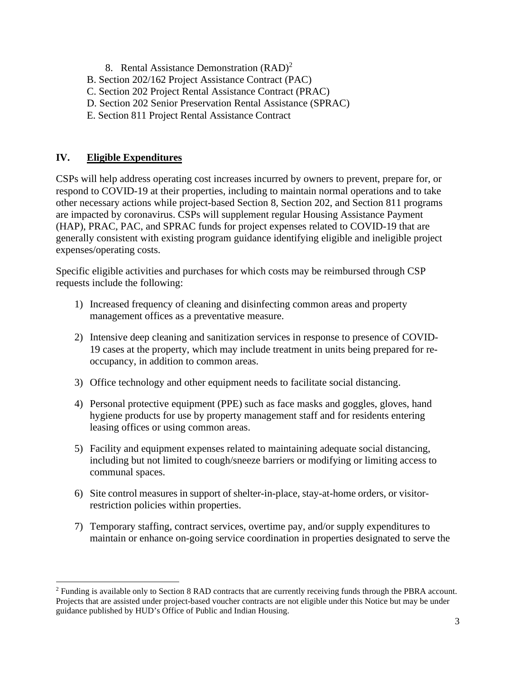- 8. Rental Assistance Demonstration  $(RAD)^2$
- B. Section 202/162 Project Assistance Contract (PAC)
- C. Section 202 Project Rental Assistance Contract (PRAC)
- D. Section 202 Senior Preservation Rental Assistance (SPRAC)
- E. Section 811 Project Rental Assistance Contract

### **IV. Eligible Expenditures**

CSPs will help address operating cost increases incurred by owners to prevent, prepare for, or respond to COVID-19 at their properties, including to maintain normal operations and to take other necessary actions while project-based Section 8, Section 202, and Section 811 programs are impacted by coronavirus. CSPs will supplement regular Housing Assistance Payment (HAP), PRAC, PAC, and SPRAC funds for project expenses related to COVID-19 that are generally consistent with existing program guidance identifying eligible and ineligible project expenses/operating costs.

Specific eligible activities and purchases for which costs may be reimbursed through CSP requests include the following:

- 1) Increased frequency of cleaning and disinfecting common areas and property management offices as a preventative measure.
- 2) Intensive deep cleaning and sanitization services in response to presence of COVID-19 cases at the property, which may include treatment in units being prepared for reoccupancy, in addition to common areas.
- 3) Office technology and other equipment needs to facilitate social distancing.
- 4) Personal protective equipment (PPE) such as face masks and goggles, gloves, hand hygiene products for use by property management staff and for residents entering leasing offices or using common areas.
- 5) Facility and equipment expenses related to maintaining adequate social distancing, including but not limited to cough/sneeze barriers or modifying or limiting access to communal spaces.
- 6) Site control measures in support of shelter-in-place, stay-at-home orders, or visitorrestriction policies within properties.
- 7) Temporary staffing, contract services, overtime pay, and/or supply expenditures to maintain or enhance on-going service coordination in properties designated to serve the

<sup>&</sup>lt;sup>2</sup> Funding is available only to Section 8 RAD contracts that are currently receiving funds through the PBRA account. Projects that are assisted under project-based voucher contracts are not eligible under this Notice but may be under guidance published by HUD's Office of Public and Indian Housing.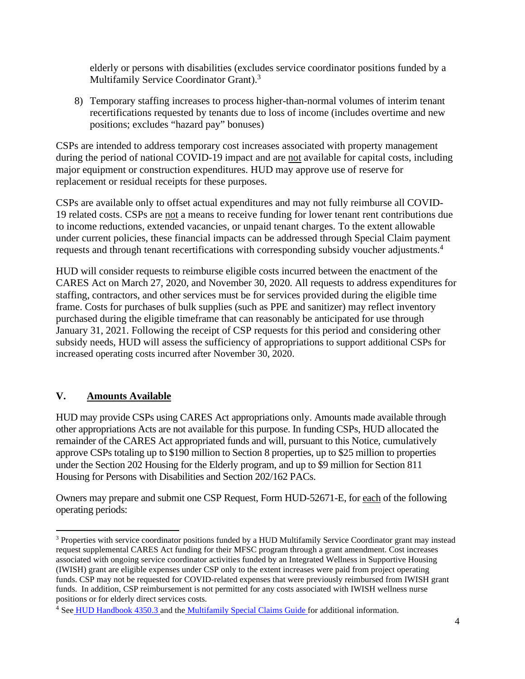elderly or persons with disabilities (excludes service coordinator positions funded by a Multifamily Service Coordinator Grant).<sup>3</sup>

8) Temporary staffing increases to process higher-than-normal volumes of interim tenant recertifications requested by tenants due to loss of income (includes overtime and new positions; excludes "hazard pay" bonuses)

CSPs are intended to address temporary cost increases associated with property management during the period of national COVID-19 impact and are not available for capital costs, including major equipment or construction expenditures. HUD may approve use of reserve for replacement or residual receipts for these purposes.

CSPs are available only to offset actual expenditures and may not fully reimburse all COVID-19 related costs. CSPs are not a means to receive funding for lower tenant rent contributions due to income reductions, extended vacancies, or unpaid tenant charges. To the extent allowable under current policies, these financial impacts can be addressed through Special Claim payment requests and through tenant recertifications with corresponding subsidy voucher adjustments.<sup>4</sup>

HUD will consider requests to reimburse eligible costs incurred between the enactment of the CARES Act on March 27, 2020, and November 30, 2020. All requests to address expenditures for staffing, contractors, and other services must be for services provided during the eligible time frame. Costs for purchases of bulk supplies (such as PPE and sanitizer) may reflect inventory purchased during the eligible timeframe that can reasonably be anticipated for use through January 31, 2021. Following the receipt of CSP requests for this period and considering other subsidy needs, HUD will assess the sufficiency of appropriations to support additional CSPs for increased operating costs incurred after November 30, 2020.

# **V. Amounts Available**

HUD may provide CSPs using CARES Act appropriations only. Amounts made available through other appropriations Acts are not available for this purpose. In funding CSPs, HUD allocated the remainder of the CARES Act appropriated funds and will, pursuant to this Notice, cumulatively approve CSPs totaling up to \$190 million to Section 8 properties, up to \$25 million to properties under the Section 202 Housing for the Elderly program, and up to \$9 million for Section 811 Housing for Persons with Disabilities and Section 202/162 PACs.

Owners may prepare and submit one CSP Request, Form HUD-52671-E, for each of the following operating periods:

<sup>&</sup>lt;sup>3</sup> Properties with service coordinator positions funded by a HUD Multifamily Service Coordinator grant may instead request supplemental CARES Act funding for their MFSC program through a grant amendment. Cost increases associated with ongoing service coordinator activities funded by an Integrated Wellness in Supportive Housing (IWISH) grant are eligible expenses under CSP only to the extent increases were paid from project operating funds. CSP may not be requested for COVID-related expenses that were previously reimbursed from IWISH grant funds. In addition, CSP reimbursement is not permitted for any costs associated with IWISH wellness nurse positions or for elderly direct services costs.

<sup>&</sup>lt;sup>4</sup> See HUD Handbook 4350.3 and the Multifamily Special Claims Guide for additional information.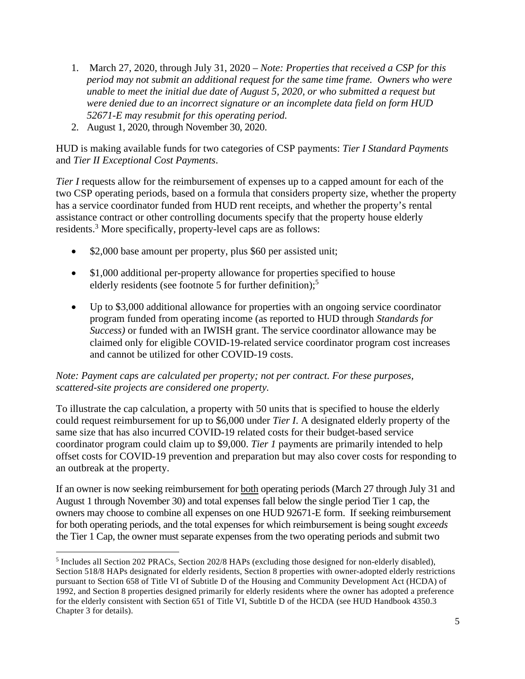- 1. March 27, 2020, through July 31, 2020 *Note: Properties that received a CSP for this period may not submit an additional request for the same time frame. Owners who were unable to meet the initial due date of August 5, 2020, or who submitted a request but were denied due to an incorrect signature or an incomplete data field on form HUD 52671-E may resubmit for this operating period.*
- 2. August 1, 2020, through November 30, 2020.

HUD is making available funds for two categories of CSP payments: *Tier I Standard Payments*  and *Tier II Exceptional Cost Payments*.

*Tier I* requests allow for the reimbursement of expenses up to a capped amount for each of the two CSP operating periods, based on a formula that considers property size, whether the property has a service coordinator funded from HUD rent receipts, and whether the property's rental assistance contract or other controlling documents specify that the property house elderly residents.<sup>3</sup> More specifically, property-level caps are as follows:

- \$2,000 base amount per property, plus \$60 per assisted unit;
- \$1,000 additional per-property allowance for properties specified to house elderly residents (see footnote 5 for further definition);<sup>5</sup>
- Up to \$3,000 additional allowance for properties with an ongoing service coordinator program funded from operating income (as reported to HUD through *Standards for Success)* or funded with an IWISH grant. The service coordinator allowance may be claimed only for eligible COVID-19-related service coordinator program cost increases and cannot be utilized for other COVID-19 costs.

### *Note: Payment caps are calculated per property; not per contract. For these purposes, scattered-site projects are considered one property.*

To illustrate the cap calculation, a property with 50 units that is specified to house the elderly could request reimbursement for up to \$6,000 under *Tier I*. A designated elderly property of the same size that has also incurred COVID-19 related costs for their budget-based service coordinator program could claim up to \$9,000. *Tier 1* payments are primarily intended to help offset costs for COVID-19 prevention and preparation but may also cover costs for responding to an outbreak at the property.

If an owner is now seeking reimbursement for both operating periods (March 27 through July 31 and August 1 through November 30) and total expenses fall below the single period Tier 1 cap, the owners may choose to combine all expenses on one HUD 92671-E form. If seeking reimbursement for both operating periods, and the total expenses for which reimbursement is being sought *exceeds* the Tier 1 Cap, the owner must separate expenses from the two operating periods and submit two

<sup>&</sup>lt;sup>5</sup> Includes all Section 202 PRACs, Section 202/8 HAPs (excluding those designed for non-elderly disabled), Section 518/8 HAPs designated for elderly residents, Section 8 properties with owner-adopted elderly restrictions pursuant to Section 658 of Title VI of Subtitle D of the Housing and Community Development Act (HCDA) of 1992, and Section 8 properties designed primarily for elderly residents where the owner has adopted a preference for the elderly consistent with Section 651 of Title VI, Subtitle D of the HCDA (see HUD Handbook 4350.3) Chapter 3 for details).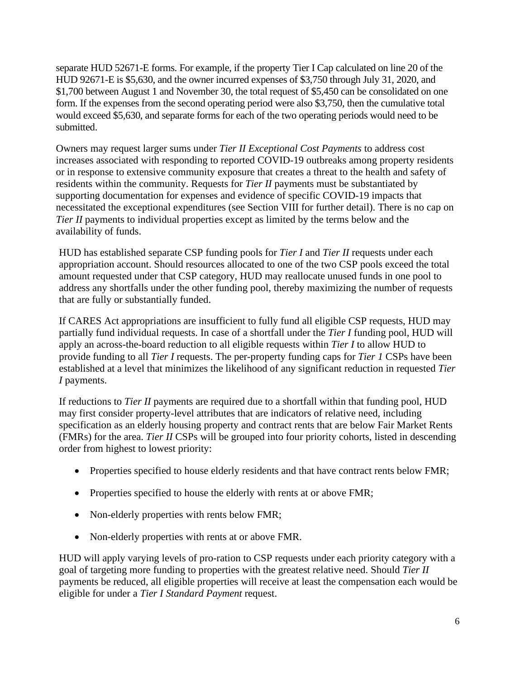separate HUD 52671-E forms. For example, if the property Tier I Cap calculated on line 20 of the HUD 92671-E is \$5,630, and the owner incurred expenses of \$3,750 through July 31, 2020, and \$1,700 between August 1 and November 30, the total request of \$5,450 can be consolidated on one form. If the expenses from the second operating period were also \$3,750, then the cumulative total would exceed \$5,630, and separate forms for each of the two operating periods would need to be submitted.

Owners may request larger sums under *Tier II Exceptional Cost Payments* to address cost increases associated with responding to reported COVID-19 outbreaks among property residents or in response to extensive community exposure that creates a threat to the health and safety of residents within the community. Requests for *Tier II* payments must be substantiated by supporting documentation for expenses and evidence of specific COVID-19 impacts that necessitated the exceptional expenditures (see Section VIII for further detail). There is no cap on *Tier II* payments to individual properties except as limited by the terms below and the availability of funds.

HUD has established separate CSP funding pools for *Tier I* and *Tier II* requests under each appropriation account. Should resources allocated to one of the two CSP pools exceed the total amount requested under that CSP category, HUD may reallocate unused funds in one pool to address any shortfalls under the other funding pool, thereby maximizing the number of requests that are fully or substantially funded.

If CARES Act appropriations are insufficient to fully fund all eligible CSP requests, HUD may partially fund individual requests. In case of a shortfall under the *Tier I* funding pool, HUD will apply an across-the-board reduction to all eligible requests within *Tier I* to allow HUD to provide funding to all *Tier I* requests. The per-property funding caps for *Tier 1* CSPs have been established at a level that minimizes the likelihood of any significant reduction in requested *Tier I* payments.

If reductions to *Tier II* payments are required due to a shortfall within that funding pool, HUD may first consider property-level attributes that are indicators of relative need, including specification as an elderly housing property and contract rents that are below Fair Market Rents (FMRs) for the area. *Tier II* CSPs will be grouped into four priority cohorts, listed in descending order from highest to lowest priority:

- Properties specified to house elderly residents and that have contract rents below FMR;
- Properties specified to house the elderly with rents at or above FMR;
- Non-elderly properties with rents below FMR;
- Non-elderly properties with rents at or above FMR.

HUD will apply varying levels of pro-ration to CSP requests under each priority category with a goal of targeting more funding to properties with the greatest relative need. Should *Tier II*  payments be reduced, all eligible properties will receive at least the compensation each would be eligible for under a *Tier I Standard Payment* request.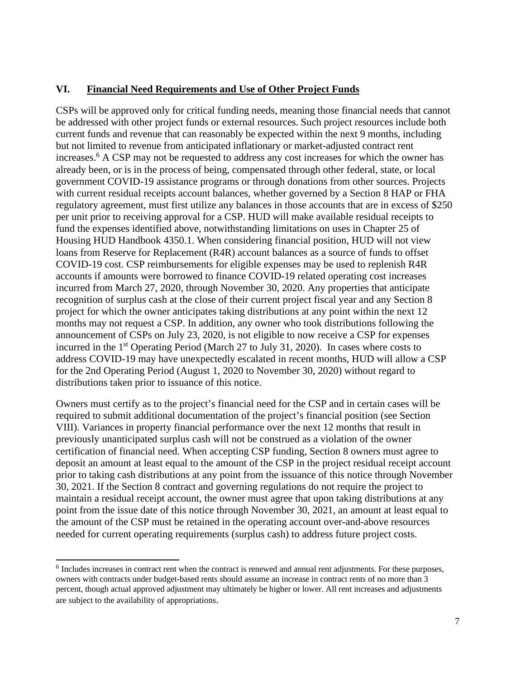### **VI. Financial Need Requirements and Use of Other Project Funds**

CSPs will be approved only for critical funding needs, meaning those financial needs that cannot be addressed with other project funds or external resources. Such project resources include both current funds and revenue that can reasonably be expected within the next 9 months, including but not limited to revenue from anticipated inflationary or market-adjusted contract rent increases.<sup>6</sup> A CSP may not be requested to address any cost increases for which the owner has already been, or is in the process of being, compensated through other federal, state, or local government COVID-19 assistance programs or through donations from other sources. Projects with current residual receipts account balances, whether governed by a Section 8 HAP or FHA regulatory agreement, must first utilize any balances in those accounts that are in excess of \$250 per unit prior to receiving approval for a CSP. HUD will make available residual receipts to fund the expenses identified above, notwithstanding limitations on uses in Chapter 25 of Housing HUD Handbook 4350.1. When considering financial position, HUD will not view loans from Reserve for Replacement (R4R) account balances as a source of funds to offset COVID-19 cost. CSP reimbursements for eligible expenses may be used to replenish R4R accounts if amounts were borrowed to finance COVID-19 related operating cost increases incurred from March 27, 2020, through November 30, 2020. Any properties that anticipate recognition of surplus cash at the close of their current project fiscal year and any Section 8 project for which the owner anticipates taking distributions at any point within the next 12 months may not request a CSP. In addition, any owner who took distributions following the announcement of CSPs on July 23, 2020, is not eligible to now receive a CSP for expenses incurred in the  $1<sup>st</sup>$  Operating Period (March 27 to July 31, 2020). In cases where costs to address COVID-19 may have unexpectedly escalated in recent months, HUD will allow a CSP for the 2nd Operating Period (August 1, 2020 to November 30, 2020) without regard to distributions taken prior to issuance of this notice.

Owners must certify as to the project's financial need for the CSP and in certain cases will be required to submit additional documentation of the project's financial position (see Section VIII). Variances in property financial performance over the next 12 months that result in previously unanticipated surplus cash will not be construed as a violation of the owner certification of financial need. When accepting CSP funding, Section 8 owners must agree to deposit an amount at least equal to the amount of the CSP in the project residual receipt account prior to taking cash distributions at any point from the issuance of this notice through November 30, 2021. If the Section 8 contract and governing regulations do not require the project to maintain a residual receipt account, the owner must agree that upon taking distributions at any point from the issue date of this notice through November 30, 2021, an amount at least equal to the amount of the CSP must be retained in the operating account over-and-above resources needed for current operating requirements (surplus cash) to address future project costs.

 $6$  Includes increases in contract rent when the contract is renewed and annual rent adjustments. For these purposes, owners with contracts under budget-based rents should assume an increase in contract rents of no more than 3 percent, though actual approved adjustment may ultimately be higher or lower. All rent increases and adjustments are subject to the availability of appropriations.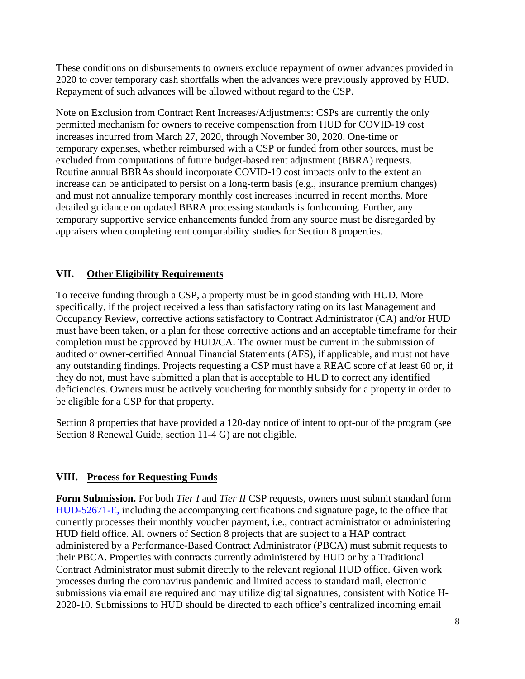These conditions on disbursements to owners exclude repayment of owner advances provided in 2020 to cover temporary cash shortfalls when the advances were previously approved by HUD. Repayment of such advances will be allowed without regard to the CSP.

Note on Exclusion from Contract Rent Increases/Adjustments: CSPs are currently the only permitted mechanism for owners to receive compensation from HUD for COVID-19 cost increases incurred from March 27, 2020, through November 30, 2020. One-time or temporary expenses, whether reimbursed with a CSP or funded from other sources, must be excluded from computations of future budget-based rent adjustment (BBRA) requests. Routine annual BBRAs should incorporate COVID-19 cost impacts only to the extent an increase can be anticipated to persist on a long-term basis (e.g., insurance premium changes) and must not annualize temporary monthly cost increases incurred in recent months. More detailed guidance on updated BBRA processing standards is forthcoming. Further, any temporary supportive service enhancements funded from any source must be disregarded by appraisers when completing rent comparability studies for Section 8 properties.

# **VII. Other Eligibility Requirements**

To receive funding through a CSP, a property must be in good standing with HUD. More specifically, if the project received a less than satisfactory rating on its last Management and Occupancy Review, corrective actions satisfactory to Contract Administrator (CA) and/or HUD must have been taken, or a plan for those corrective actions and an acceptable timeframe for their completion must be approved by HUD/CA. The owner must be current in the submission of audited or owner-certified Annual Financial Statements (AFS), if applicable, and must not have any outstanding findings. Projects requesting a CSP must have a REAC score of at least 60 or, if they do not, must have submitted a plan that is acceptable to HUD to correct any identified deficiencies. Owners must be actively vouchering for monthly subsidy for a property in order to be eligible for a CSP for that property.

Section 8 properties that have provided a 120-day notice of intent to opt-out of the program (see Section 8 Renewal Guide, section 11-4 G) are not eligible.

### **VIII. Process for Requesting Funds**

**Form Submission.** For both *Tier I* and *Tier II* CSP requests, owners must submit standard form HUD-52671-E, including the accompanying certifications and signature page, to the office that currently processes their monthly voucher payment, i.e., contract administrator or administering HUD field office. All owners of Section 8 projects that are subject to a HAP contract administered by a Performance-Based Contract Administrator (PBCA) must submit requests to their PBCA. Properties with contracts currently administered by HUD or by a Traditional Contract Administrator must submit directly to the relevant regional HUD office. Given work processes during the coronavirus pandemic and limited access to standard mail, electronic submissions via email are required and may utilize digital signatures, consistent with Notice H-2020-10. Submissions to HUD should be directed to each office's centralized incoming email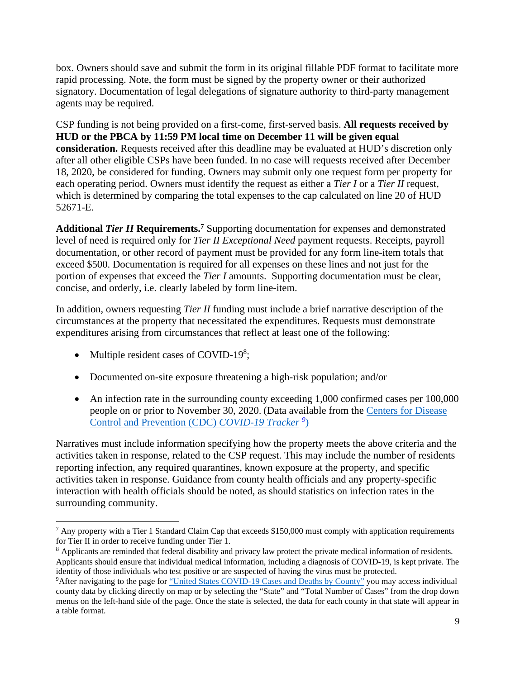box. Owners should save and submit the form in its original fillable PDF format to facilitate more rapid processing. Note, the form must be signed by the property owner or their authorized signatory. Documentation of legal delegations of signature authority to third-party management agents may be required.

CSP funding is not being provided on a first-come, first-served basis. **All requests received by HUD or the PBCA by 11:59 PM local time on December 11 will be given equal consideration.** Requests received after this deadline may be evaluated at HUD's discretion only after all other eligible CSPs have been funded. In no case will requests received after December 18, 2020, be considered for funding. Owners may submit only one request form per property for each operating period. Owners must identify the request as either a *Tier I* or a *Tier II* request, which is determined by comparing the total expenses to the cap calculated on line 20 of HUD 52671-E.

Additional *Tier II* Requirements.<sup>7</sup> Supporting documentation for expenses and demonstrated level of need is required only for *Tier II Exceptional Need* payment requests. Receipts, payroll documentation, or other record of payment must be provided for any form line-item totals that exceed \$500. Documentation is required for all expenses on these lines and not just for the portion of expenses that exceed the *Tier I* amounts. Supporting documentation must be clear, concise, and orderly, i.e. clearly labeled by form line-item.

In addition, owners requesting *Tier II* funding must include a brief narrative description of the circumstances at the property that necessitated the expenditures. Requests must demonstrate expenditures arising from circumstances that reflect at least one of the following:

- Multiple resident cases of COVID-19<sup>8</sup>;
- Documented on-site exposure threatening a high-risk population; and/or
- An infection rate in the surrounding county exceeding 1,000 confirmed cases per 100,000 people on or prior to November 30, 2020. (Data available from the Centers for Disease Control and Prevention (CDC) *COVID-19 Tracker <sup>9</sup>* )

Narratives must include information specifying how the property meets the above criteria and the activities taken in response, related to the CSP request. This may include the number of residents reporting infection, any required quarantines, known exposure at the property, and specific activities taken in response. Guidance from county health officials and any property-specific interaction with health officials should be noted, as should statistics on infection rates in the surrounding community.

 $7$  Any property with a Tier 1 Standard Claim Cap that exceeds \$150,000 must comply with application requirements for Tier II in order to receive funding under Tier 1.

<sup>&</sup>lt;sup>8</sup> Applicants are reminded that federal disability and privacy law protect the private medical information of residents. Applicants should ensure that individual medical information, including a diagnosis of COVID-19, is kept private. The identity of those individuals who test positive or are suspected of having the virus must be protected.

<sup>9</sup>After navigating to the page for "United States COVID-19 Cases and Deaths by County" you may access individual county data by clicking directly on map or by selecting the "State" and "Total Number of Cases" from the drop down menus on the left-hand side of the page. Once the state is selected, the data for each county in that state will appear in a table format.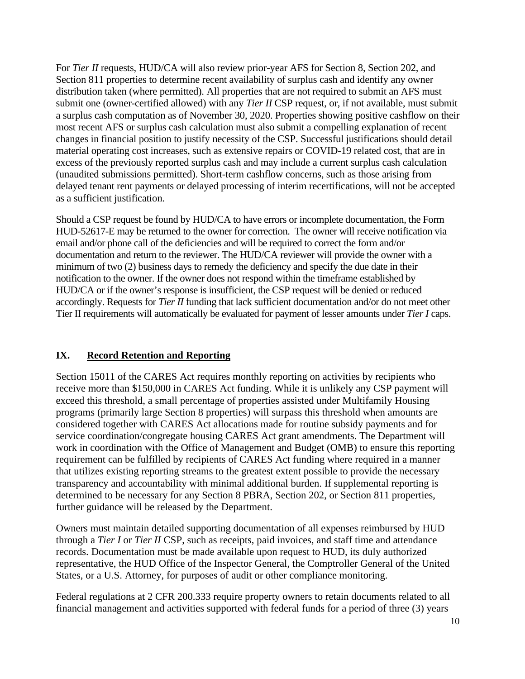For *Tier II* requests, HUD/CA will also review prior-year AFS for Section 8, Section 202, and Section 811 properties to determine recent availability of surplus cash and identify any owner distribution taken (where permitted). All properties that are not required to submit an AFS must submit one (owner-certified allowed) with any *Tier II* CSP request, or, if not available, must submit a surplus cash computation as of November 30, 2020. Properties showing positive cashflow on their most recent AFS or surplus cash calculation must also submit a compelling explanation of recent changes in financial position to justify necessity of the CSP. Successful justifications should detail material operating cost increases, such as extensive repairs or COVID-19 related cost, that are in excess of the previously reported surplus cash and may include a current surplus cash calculation (unaudited submissions permitted). Short-term cashflow concerns, such as those arising from delayed tenant rent payments or delayed processing of interim recertifications, will not be accepted as a sufficient justification.

Should a CSP request be found by HUD/CA to have errors or incomplete documentation, the Form HUD-52617-E may be returned to the owner for correction. The owner will receive notification via email and/or phone call of the deficiencies and will be required to correct the form and/or documentation and return to the reviewer. The HUD/CA reviewer will provide the owner with a minimum of two (2) business days to remedy the deficiency and specify the due date in their notification to the owner. If the owner does not respond within the timeframe established by HUD/CA or if the owner's response is insufficient, the CSP request will be denied or reduced accordingly. Requests for *Tier II* funding that lack sufficient documentation and/or do not meet other Tier II requirements will automatically be evaluated for payment of lesser amounts under *Tier I* caps.

# **IX. Record Retention and Reporting**

Section 15011 of the CARES Act requires monthly reporting on activities by recipients who receive more than \$150,000 in CARES Act funding. While it is unlikely any CSP payment will exceed this threshold, a small percentage of properties assisted under Multifamily Housing programs (primarily large Section 8 properties) will surpass this threshold when amounts are considered together with CARES Act allocations made for routine subsidy payments and for service coordination/congregate housing CARES Act grant amendments. The Department will work in coordination with the Office of Management and Budget (OMB) to ensure this reporting requirement can be fulfilled by recipients of CARES Act funding where required in a manner that utilizes existing reporting streams to the greatest extent possible to provide the necessary transparency and accountability with minimal additional burden. If supplemental reporting is determined to be necessary for any Section 8 PBRA, Section 202, or Section 811 properties, further guidance will be released by the Department.

Owners must maintain detailed supporting documentation of all expenses reimbursed by HUD through a *Tier I* or *Tier II* CSP, such as receipts, paid invoices, and staff time and attendance records. Documentation must be made available upon request to HUD, its duly authorized representative, the HUD Office of the Inspector General, the Comptroller General of the United States, or a U.S. Attorney, for purposes of audit or other compliance monitoring.

Federal regulations at 2 CFR 200.333 require property owners to retain documents related to all financial management and activities supported with federal funds for a period of three (3) years